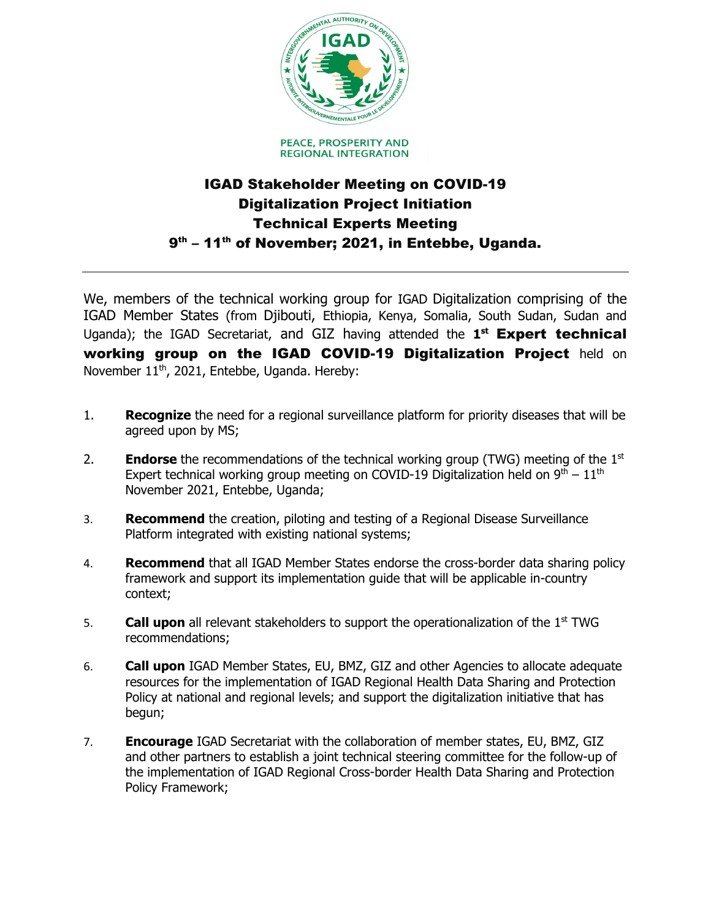

## IGAD Stakeholder Meeting on COVID-19 Digitalization Project Initiation Technical Experts Meeting 9<sup>th</sup> - 11<sup>th</sup> of November; 2021, in Entebbe, Uganda.

We, members of the technical working group for IGAD Digitalization comprising of the IGAD Member States (from Djibouti, Ethiopia, Kenya, Somalia, South Sudan, Sudan and Uganda); the IGAD Secretariat, and GIZ having attended the **1st** Expert technical working group on the IGAD COVID-19 Digitalization Project held on November 11<sup>th</sup>, 2021, Entebbe, Uganda. Hereby:

- 1. **Recognize** the need for a regional surveillance platform for priority diseases that will be agreed upon by MS;
- 2. **Endorse** the recommendations of the technical working group (TWG) meeting of the 1st Expert technical working group meeting on COVID-19 Digitalization held on  $9<sup>th</sup> - 11<sup>th</sup>$ November 2021, Entebbe, Uganda;
- 3. **Recommend** the creation, piloting and testing of a Regional Disease Surveillance Platform integrated with existing national systems;
- 4. **Recommend** that all IGAD Member States endorse the cross-border data sharing policy framework and support its implementation guide that will be applicable in-country context;
- 5. **Call upon** all relevant stakeholders to support the operationalization of the 1st TWG recommendations;
- 6. **Call upon** IGAD Member States, EU, BMZ, GIZ and other Agencies to allocate adequate resources for the implementation of IGAD Regional Health Data Sharing and Protection Policy at national and regional levels; and support the digitalization initiative that has begun;
- 7. **Encourage** IGAD Secretariat with the collaboration of member states, EU, BMZ, GIZ and other partners to establish a joint technical steering committee for the follow-up of the implementation of IGAD Regional Cross-border Health Data Sharing and Protection Policy Framework;